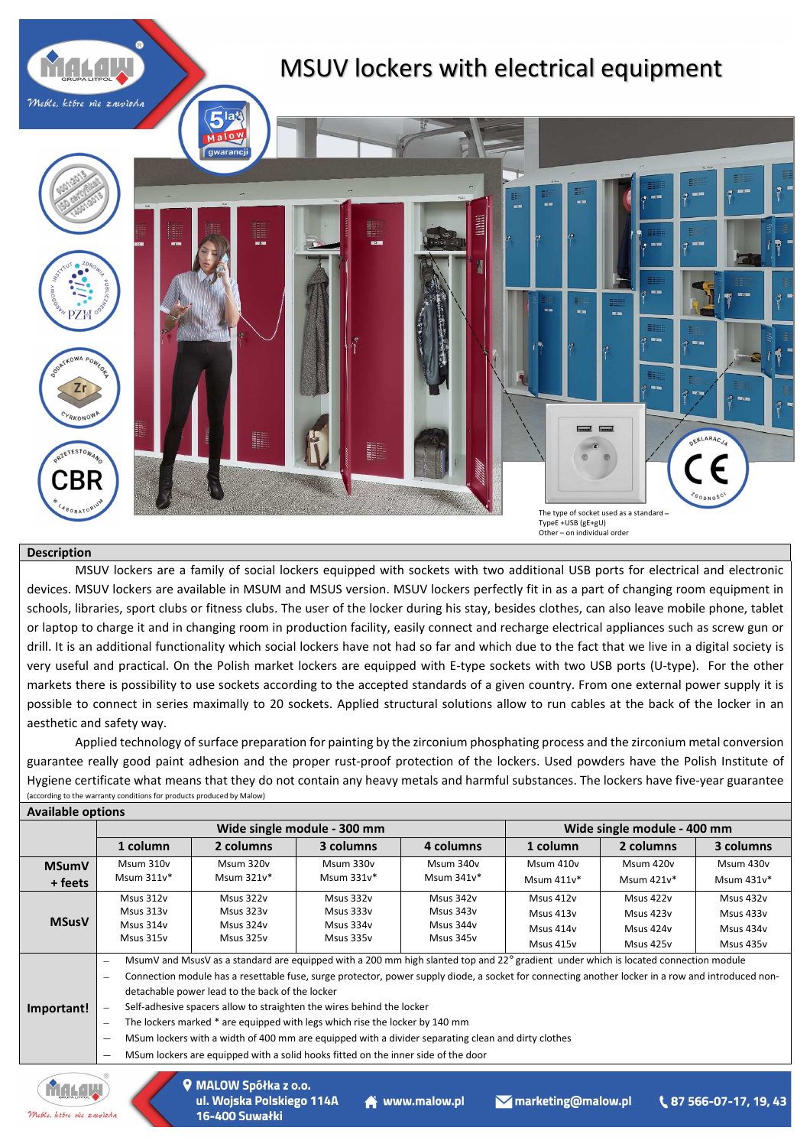

## **Description**

MSUV lockers are a family of social lockers equipped with sockets with two additional USB ports for electrical and electronic devices. MSUV lockers are available in MSUM and MSUS version. MSUV lockers perfectly fit in as a part of changing room equipment in schools, libraries, sport clubs or fitness clubs. The user of the locker during his stay, besides clothes, can also leave mobile phone, tablet or laptop to charge it and in changing room in production facility, easily connect and recharge electrical appliances such as screw gun or drill. It is an additional functionality which social lockers have not had so far and which due to the fact that we live in a digital society is very useful and practical. On the Polish market lockers are equipped with E-type sockets with two USB ports (U-type). For the other markets there is possibility to use sockets according to the accepted standards of a given country. From one external power supply it is possible to connect in series maximally to 20 sockets. Applied structural solutions allow to run cables at the back of the locker in an aesthetic and safety way.

Applied technology of surface preparation for painting by the zirconium phosphating process and the zirconium metal conversion guarantee really good paint adhesion and the proper rust-proof protection of the lockers. Used powders have the Polish Institute of Hygiene certificate what means that they do not contain any heavy metals and harmful substances. The lockers have five-year guarantee (according to the warranty conditions for products produced by Malow) **Available options**

| <b>AVAIIADIC OPLICITS</b> |                                                                                                                                                                                                                                                                                                                                                                                                                                                                                                                                                                                                                                                                                                                                                                                                                                   |                                                  | Wide single module - 300 mm                      | Wide single module - 400 mm                      |                                                  |                                                  |                                                  |
|---------------------------|-----------------------------------------------------------------------------------------------------------------------------------------------------------------------------------------------------------------------------------------------------------------------------------------------------------------------------------------------------------------------------------------------------------------------------------------------------------------------------------------------------------------------------------------------------------------------------------------------------------------------------------------------------------------------------------------------------------------------------------------------------------------------------------------------------------------------------------|--------------------------------------------------|--------------------------------------------------|--------------------------------------------------|--------------------------------------------------|--------------------------------------------------|--------------------------------------------------|
|                           | 1 column                                                                                                                                                                                                                                                                                                                                                                                                                                                                                                                                                                                                                                                                                                                                                                                                                          | 2 columns                                        | 3 columns                                        | 4 columns                                        | 1 column                                         | 2 columns                                        | 3 columns                                        |
| <b>MSumV</b><br>+ feets   | Msum 310v<br>Msum $311v^*$                                                                                                                                                                                                                                                                                                                                                                                                                                                                                                                                                                                                                                                                                                                                                                                                        | Msum 320v<br>Msum 321v*                          | Msum 330v<br>Msum $331v^*$                       | Msum 340v<br>Msum 341v*                          | Msum 410v<br>Msum $411v*$                        | Msum 420v<br>Msum 421v*                          | Msum 430v<br>Msum $431v*$                        |
| <b>MSusV</b>              | Msus 312v<br>Msus 313v<br>Msus 314v<br>Msus 315v                                                                                                                                                                                                                                                                                                                                                                                                                                                                                                                                                                                                                                                                                                                                                                                  | Msus 322v<br>Msus 323v<br>Msus 324v<br>Msus 325v | Msus 332v<br>Msus 333v<br>Msus 334v<br>Msus 335v | Msus 342v<br>Msus 343y<br>Msus 344v<br>Msus 345v | Msus 412v<br>Msus 413v<br>Msus 414v<br>Msus 415v | Msus 422v<br>Msus 423v<br>Msus 424v<br>Msus 425v | Msus 432v<br>Msus 433v<br>Msus 434y<br>Msus 435v |
| Important!                | MsumV and MsusV as a standard are equipped with a 200 mm high slanted top and 22° gradient under which is located connection module<br>$\overline{\phantom{a}}$<br>Connection module has a resettable fuse, surge protector, power supply diode, a socket for connecting another locker in a row and introduced non-<br>$\overline{\phantom{0}}$<br>detachable power lead to the back of the locker<br>Self-adhesive spacers allow to straighten the wires behind the locker<br>The lockers marked * are equipped with legs which rise the locker by 140 mm<br>$\overline{\phantom{a}}$<br>MSum lockers with a width of 400 mm are equipped with a divider separating clean and dirty clothes<br>$\qquad \qquad$<br>MSum lockers are equipped with a solid hooks fitted on the inner side of the door<br>$\overline{\phantom{0}}$ |                                                  |                                                  |                                                  |                                                  |                                                  |                                                  |



MALOW Spółka z o.o. ul. Wojska Polskiego 114A www.malow.pl Mmarketing@malow.pl 16-400 Suwałki